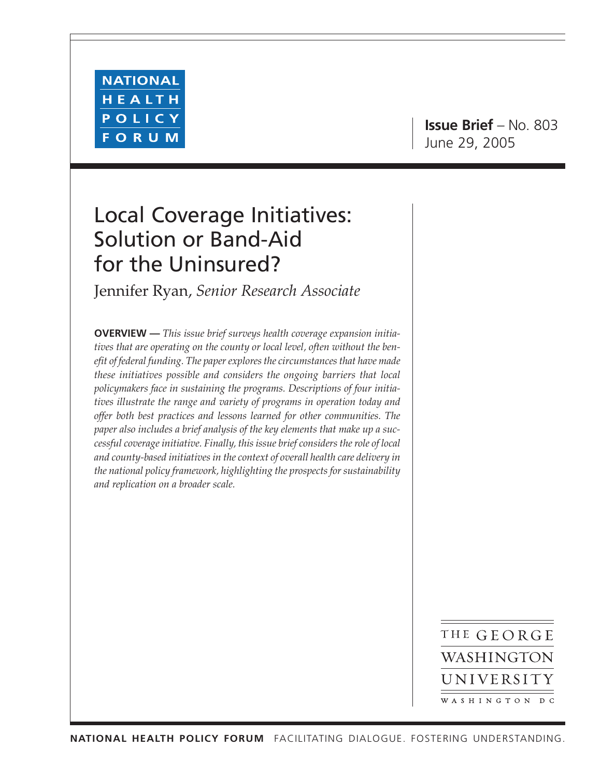

**Issue Brief** – No. 803 June 29, 2005

# Local Coverage Initiatives: Solution or Band-Aid for the Uninsured?

Jennifer Ryan, *Senior Research Associate*

**OVERVIEW —** *This issue brief surveys health coverage expansion initiatives that are operating on the county or local level, often without the benefit of federal funding. The paper explores the circumstances that have made these initiatives possible and considers the ongoing barriers that local policymakers face in sustaining the programs. Descriptions of four initiatives illustrate the range and variety of programs in operation today and offer both best practices and lessons learned for other communities. The paper also includes a brief analysis of the key elements that make up a successful coverage initiative. Finally, this issue brief considers the role of local and county-based initiatives in the context of overall health care delivery in the national policy framework, highlighting the prospects for sustainability and replication on a broader scale.*

> THE GEORGE WASHINGTON UNIVERSITY WASHINGTON DC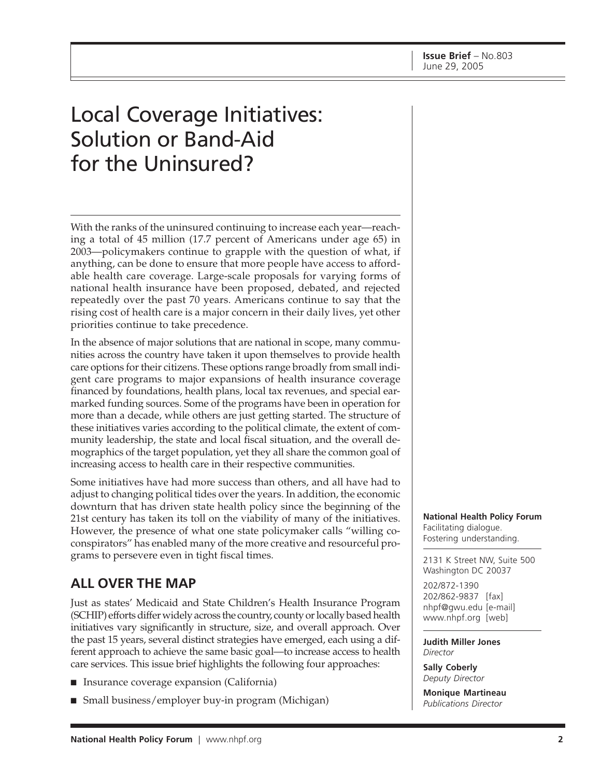# Local Coverage Initiatives: Solution or Band-Aid for the Uninsured?

With the ranks of the uninsured continuing to increase each year—reaching a total of 45 million (17.7 percent of Americans under age 65) in 2003—policymakers continue to grapple with the question of what, if anything, can be done to ensure that more people have access to affordable health care coverage. Large-scale proposals for varying forms of national health insurance have been proposed, debated, and rejected repeatedly over the past 70 years. Americans continue to say that the rising cost of health care is a major concern in their daily lives, yet other priorities continue to take precedence.

In the absence of major solutions that are national in scope, many communities across the country have taken it upon themselves to provide health care options for their citizens. These options range broadly from small indigent care programs to major expansions of health insurance coverage financed by foundations, health plans, local tax revenues, and special earmarked funding sources. Some of the programs have been in operation for more than a decade, while others are just getting started. The structure of these initiatives varies according to the political climate, the extent of community leadership, the state and local fiscal situation, and the overall demographics of the target population, yet they all share the common goal of increasing access to health care in their respective communities.

Some initiatives have had more success than others, and all have had to adjust to changing political tides over the years. In addition, the economic downturn that has driven state health policy since the beginning of the 21st century has taken its toll on the viability of many of the initiatives. However, the presence of what one state policymaker calls "willing coconspirators" has enabled many of the more creative and resourceful programs to persevere even in tight fiscal times.

# **ALL OVER THE MAP**

Just as states' Medicaid and State Children's Health Insurance Program (SCHIP) efforts differ widely across the country, county or locally based health initiatives vary significantly in structure, size, and overall approach. Over the past 15 years, several distinct strategies have emerged, each using a different approach to achieve the same basic goal—to increase access to health care services. This issue brief highlights the following four approaches:

- Insurance coverage expansion (California)
- Small business/employer buy-in program (Michigan)

**National Health Policy Forum** Facilitating dialogue. Fostering understanding.

2131 K Street NW, Suite 500 Washington DC 20037

202/872-1390 202/862-9837 [fax] nhpf@gwu.edu [e-mail] www.nhpf.org [web]

**Judith Miller Jones** *Director*

**Sally Coberly** *Deputy Director*

**Monique Martineau** *Publications Director*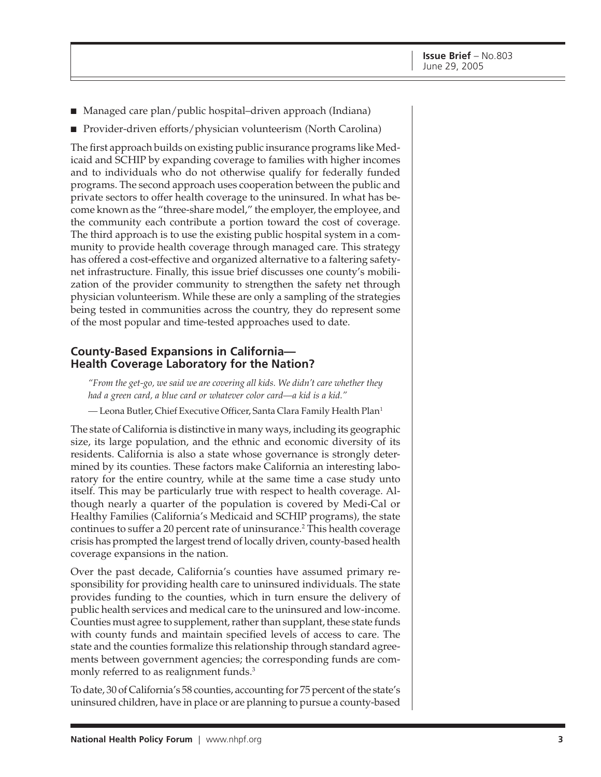- Managed care plan/public hospital–driven approach (Indiana)
- Provider-driven efforts/physician volunteerism (North Carolina)

The first approach builds on existing public insurance programs like Medicaid and SCHIP by expanding coverage to families with higher incomes and to individuals who do not otherwise qualify for federally funded programs. The second approach uses cooperation between the public and private sectors to offer health coverage to the uninsured. In what has become known as the "three-share model," the employer, the employee, and the community each contribute a portion toward the cost of coverage. The third approach is to use the existing public hospital system in a community to provide health coverage through managed care. This strategy has offered a cost-effective and organized alternative to a faltering safetynet infrastructure. Finally, this issue brief discusses one county's mobilization of the provider community to strengthen the safety net through physician volunteerism. While these are only a sampling of the strategies being tested in communities across the country, they do represent some of the most popular and time-tested approaches used to date.

#### **County-Based Expansions in California— Health Coverage Laboratory for the Nation?**

*"From the get-go, we said we are covering all kids. We didn't care whether they had a green card, a blue card or whatever color card—a kid is a kid."*

*—* Leona Butler, Chief Executive Officer, Santa Clara Family Health Plan1

The state of California is distinctive in many ways, including its geographic size, its large population, and the ethnic and economic diversity of its residents. California is also a state whose governance is strongly determined by its counties. These factors make California an interesting laboratory for the entire country, while at the same time a case study unto itself. This may be particularly true with respect to health coverage. Although nearly a quarter of the population is covered by Medi-Cal or Healthy Families (California's Medicaid and SCHIP programs), the state continues to suffer a 20 percent rate of uninsurance.2 This health coverage crisis has prompted the largest trend of locally driven, county-based health coverage expansions in the nation.

Over the past decade, California's counties have assumed primary responsibility for providing health care to uninsured individuals. The state provides funding to the counties, which in turn ensure the delivery of public health services and medical care to the uninsured and low-income. Counties must agree to supplement, rather than supplant, these state funds with county funds and maintain specified levels of access to care. The state and the counties formalize this relationship through standard agreements between government agencies; the corresponding funds are commonly referred to as realignment funds.<sup>3</sup>

To date, 30 of California's 58 counties, accounting for 75 percent of the state's uninsured children, have in place or are planning to pursue a county-based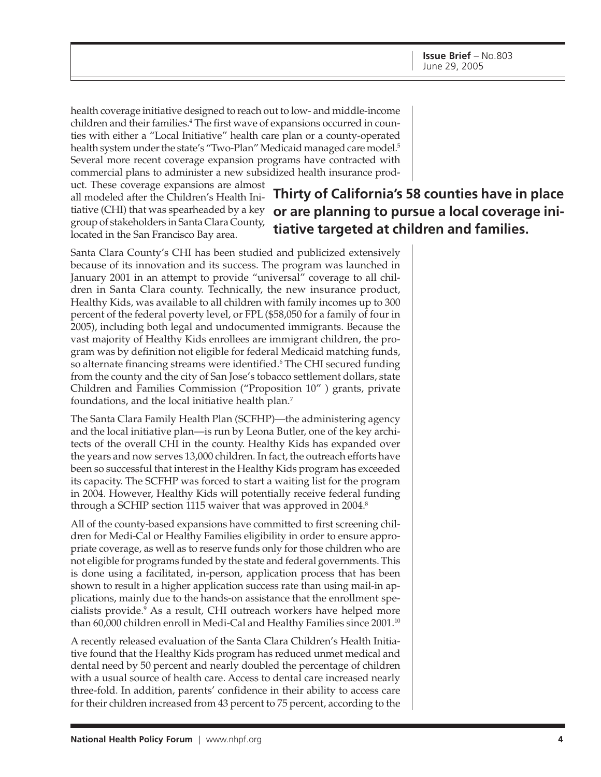health coverage initiative designed to reach out to low- and middle-income children and their families.<sup>4</sup> The first wave of expansions occurred in counties with either a "Local Initiative" health care plan or a county-operated health system under the state's "Two-Plan" Medicaid managed care model.<sup>5</sup> Several more recent coverage expansion programs have contracted with commercial plans to administer a new subsidized health insurance prod-

uct. These coverage expansions are almost all modeled after the Children's Health Inigroup of stakeholders in Santa Clara County, located in the San Francisco Bay area.

# tiative (CHI) that was spearheaded by a key **or are planning to pursue a local coverage ini-Thirty of California's 58 counties have in place tiative targeted at children and families.**

Santa Clara County's CHI has been studied and publicized extensively because of its innovation and its success. The program was launched in January 2001 in an attempt to provide "universal" coverage to all children in Santa Clara county. Technically, the new insurance product, Healthy Kids, was available to all children with family incomes up to 300 percent of the federal poverty level, or FPL (\$58,050 for a family of four in 2005), including both legal and undocumented immigrants. Because the vast majority of Healthy Kids enrollees are immigrant children, the program was by definition not eligible for federal Medicaid matching funds, so alternate financing streams were identified.6 The CHI secured funding from the county and the city of San Jose's tobacco settlement dollars, state Children and Families Commission ("Proposition 10" ) grants, private foundations, and the local initiative health plan.7

The Santa Clara Family Health Plan (SCFHP)—the administering agency and the local initiative plan—is run by Leona Butler, one of the key architects of the overall CHI in the county. Healthy Kids has expanded over the years and now serves 13,000 children. In fact, the outreach efforts have been so successful that interest in the Healthy Kids program has exceeded its capacity. The SCFHP was forced to start a waiting list for the program in 2004. However, Healthy Kids will potentially receive federal funding through a SCHIP section 1115 waiver that was approved in 2004.<sup>8</sup>

All of the county-based expansions have committed to first screening children for Medi-Cal or Healthy Families eligibility in order to ensure appropriate coverage, as well as to reserve funds only for those children who are not eligible for programs funded by the state and federal governments. This is done using a facilitated, in-person, application process that has been shown to result in a higher application success rate than using mail-in applications, mainly due to the hands-on assistance that the enrollment specialists provide.9 As a result, CHI outreach workers have helped more than 60,000 children enroll in Medi-Cal and Healthy Families since 2001.10

A recently released evaluation of the Santa Clara Children's Health Initiative found that the Healthy Kids program has reduced unmet medical and dental need by 50 percent and nearly doubled the percentage of children with a usual source of health care. Access to dental care increased nearly three-fold. In addition, parents' confidence in their ability to access care for their children increased from 43 percent to 75 percent, according to the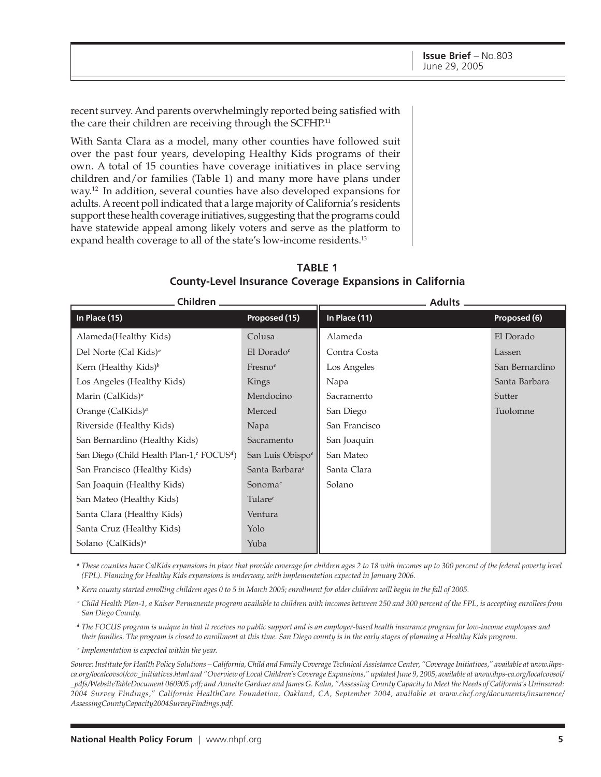recent survey. And parents overwhelmingly reported being satisfied with the care their children are receiving through the SCFHP.<sup>11</sup>

With Santa Clara as a model, many other counties have followed suit over the past four years, developing Healthy Kids programs of their own. A total of 15 counties have coverage initiatives in place serving children and/or families (Table 1) and many more have plans under way.12 In addition, several counties have also developed expansions for adults. A recent poll indicated that a large majority of California's residents support these health coverage initiatives, suggesting that the programs could have statewide appeal among likely voters and serve as the platform to expand health coverage to all of the state's low-income residents.<sup>13</sup>

**TABLE 1 County-Level Insurance Coverage Expansions in California**

| Children ________                                         |                            | Adults __     |                |
|-----------------------------------------------------------|----------------------------|---------------|----------------|
| In Place (15)                                             | Proposed (15)              | In Place (11) | Proposed (6)   |
| Alameda(Healthy Kids)                                     | Colusa                     | Alameda       | El Dorado      |
| Del Norte (Cal Kids) <sup>a</sup>                         | El Dorado $^c$             | Contra Costa  | Lassen         |
| Kern (Healthy Kids) <sup>b</sup>                          | Fresno <sup>e</sup>        | Los Angeles   | San Bernardino |
| Los Angeles (Healthy Kids)                                | Kings                      | Napa          | Santa Barbara  |
| Marin (CalKids) <sup>a</sup>                              | Mendocino                  | Sacramento    | Sutter         |
| Orange (CalKids) <sup>a</sup>                             | Merced                     | San Diego     | Tuolomne       |
| Riverside (Healthy Kids)                                  | Napa                       | San Francisco |                |
| San Bernardino (Healthy Kids)                             | Sacramento                 | San Joaquin   |                |
| San Diego (Child Health Plan-1, $^c$ FOCUS <sup>d</sup> ) | San Luis Obispoe           | San Mateo     |                |
| San Francisco (Healthy Kids)                              | Santa Barbara <sup>e</sup> | Santa Clara   |                |
| San Joaquin (Healthy Kids)                                | Sonoma $^c$                | Solano        |                |
| San Mateo (Healthy Kids)                                  | Tulare $e$                 |               |                |
| Santa Clara (Healthy Kids)                                | Ventura                    |               |                |
| Santa Cruz (Healthy Kids)                                 | Yolo                       |               |                |
| Solano (CalKids) <sup>a</sup>                             | Yuba                       |               |                |

*<sup>a</sup> These counties have CalKids expansions in place that provide coverage for children ages 2 to 18 with incomes up to 300 percent of the federal poverty level (FPL). Planning for Healthy Kids expansions is underway, with implementation expected in January 2006.*

*<sup>b</sup> Kern county started enrolling children ages 0 to 5 in March 2005; enrollment for older children will begin in the fall of 2005.*

*<sup>c</sup> Child Health Plan-1, a Kaiser Permanente program available to children with incomes between 250 and 300 percent of the FPL, is accepting enrollees from San Diego County.*

*<sup>d</sup> The FOCUS program is unique in that it receives no public support and is an employer-based health insurance program for low-income employees and their families. The program is closed to enrollment at this time. San Diego county is in the early stages of planning a Healthy Kids program.*

*<sup>e</sup> Implementation is expected within the year.*

*Source: Institute for Health Policy Solutions – California, Child and Family Coverage Technical Assistance Center, "Coverage Initiatives," available at www.ihpsca.org/localcovsol/cov\_initiatives.html and "Overview of Local Children's Coverage Expansions," updated June 9, 2005, available at www.ihps-ca.org/localcovsol/ \_pdfs/WebsiteTableDocument 060905.pdf; and Annette Gardner and James G. Kahn, "Assessing County Capacity to Meet the Needs of California's Uninsured: 2004 Survey Findings," California HealthCare Foundation, Oakland, CA, September 2004, available at www.chcf.org/documents/insurance/ AssessingCountyCapacity2004SurveyFindings.pdf.*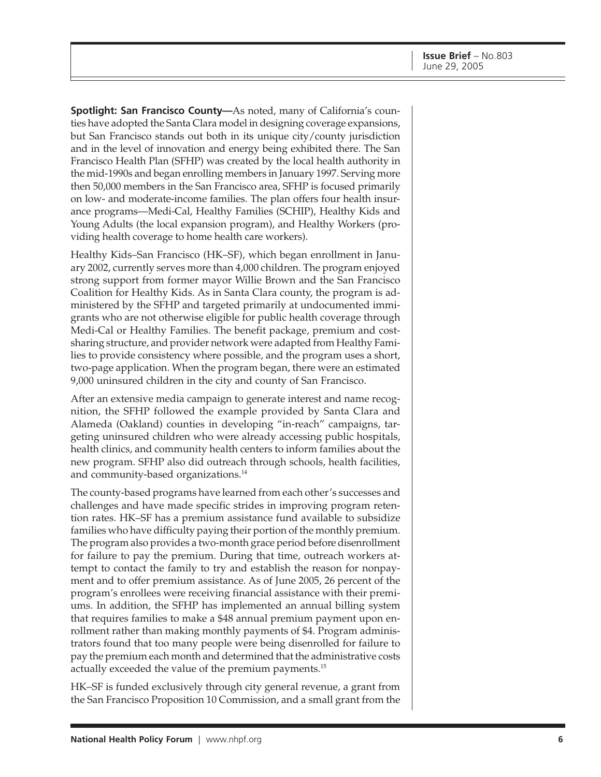**Spotlight: San Francisco County—As noted, many of California's coun**ties have adopted the Santa Clara model in designing coverage expansions, but San Francisco stands out both in its unique city/county jurisdiction and in the level of innovation and energy being exhibited there. The San Francisco Health Plan (SFHP) was created by the local health authority in the mid-1990s and began enrolling members in January 1997. Serving more then 50,000 members in the San Francisco area, SFHP is focused primarily on low- and moderate-income families. The plan offers four health insurance programs—Medi-Cal, Healthy Families (SCHIP), Healthy Kids and Young Adults (the local expansion program), and Healthy Workers (providing health coverage to home health care workers).

Healthy Kids–San Francisco (HK–SF), which began enrollment in January 2002, currently serves more than 4,000 children. The program enjoyed strong support from former mayor Willie Brown and the San Francisco Coalition for Healthy Kids. As in Santa Clara county, the program is administered by the SFHP and targeted primarily at undocumented immigrants who are not otherwise eligible for public health coverage through Medi-Cal or Healthy Families. The benefit package, premium and costsharing structure, and provider network were adapted from Healthy Families to provide consistency where possible, and the program uses a short, two-page application. When the program began, there were an estimated 9,000 uninsured children in the city and county of San Francisco.

After an extensive media campaign to generate interest and name recognition, the SFHP followed the example provided by Santa Clara and Alameda (Oakland) counties in developing "in-reach" campaigns, targeting uninsured children who were already accessing public hospitals, health clinics, and community health centers to inform families about the new program. SFHP also did outreach through schools, health facilities, and community-based organizations.<sup>14</sup>

The county-based programs have learned from each other's successes and challenges and have made specific strides in improving program retention rates. HK–SF has a premium assistance fund available to subsidize families who have difficulty paying their portion of the monthly premium. The program also provides a two-month grace period before disenrollment for failure to pay the premium. During that time, outreach workers attempt to contact the family to try and establish the reason for nonpayment and to offer premium assistance. As of June 2005, 26 percent of the program's enrollees were receiving financial assistance with their premiums. In addition, the SFHP has implemented an annual billing system that requires families to make a \$48 annual premium payment upon enrollment rather than making monthly payments of \$4. Program administrators found that too many people were being disenrolled for failure to pay the premium each month and determined that the administrative costs actually exceeded the value of the premium payments.<sup>15</sup>

HK–SF is funded exclusively through city general revenue, a grant from the San Francisco Proposition 10 Commission, and a small grant from the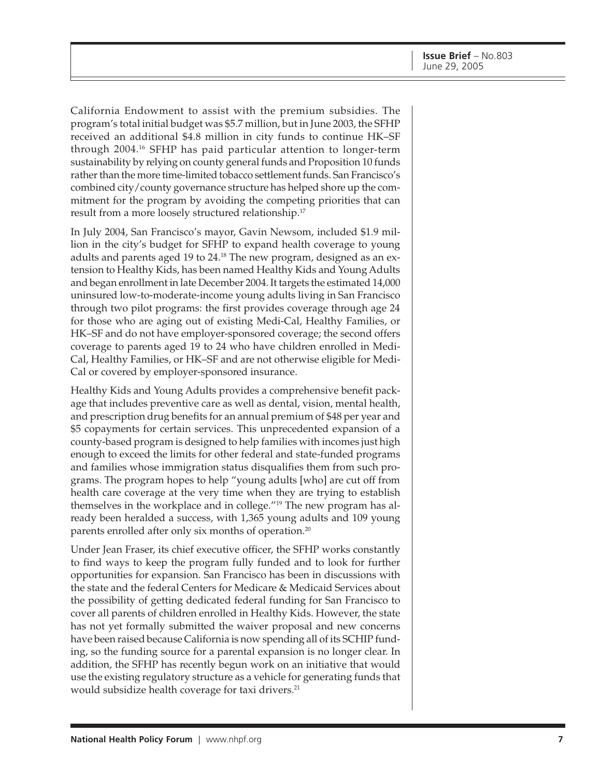California Endowment to assist with the premium subsidies. The program's total initial budget was \$5.7 million, but in June 2003, the SFHP received an additional \$4.8 million in city funds to continue HK–SF through 2004.16 SFHP has paid particular attention to longer-term sustainability by relying on county general funds and Proposition 10 funds rather than the more time-limited tobacco settlement funds. San Francisco's combined city/county governance structure has helped shore up the commitment for the program by avoiding the competing priorities that can result from a more loosely structured relationship.<sup>17</sup>

In July 2004, San Francisco's mayor, Gavin Newsom, included \$1.9 million in the city's budget for SFHP to expand health coverage to young adults and parents aged 19 to 24.18 The new program, designed as an extension to Healthy Kids, has been named Healthy Kids and Young Adults and began enrollment in late December 2004. It targets the estimated 14,000 uninsured low-to-moderate-income young adults living in San Francisco through two pilot programs: the first provides coverage through age 24 for those who are aging out of existing Medi-Cal, Healthy Families, or HK–SF and do not have employer-sponsored coverage; the second offers coverage to parents aged 19 to 24 who have children enrolled in Medi-Cal, Healthy Families, or HK–SF and are not otherwise eligible for Medi-Cal or covered by employer-sponsored insurance.

Healthy Kids and Young Adults provides a comprehensive benefit package that includes preventive care as well as dental, vision, mental health, and prescription drug benefits for an annual premium of \$48 per year and \$5 copayments for certain services. This unprecedented expansion of a county-based program is designed to help families with incomes just high enough to exceed the limits for other federal and state-funded programs and families whose immigration status disqualifies them from such programs. The program hopes to help "young adults [who] are cut off from health care coverage at the very time when they are trying to establish themselves in the workplace and in college."19 The new program has already been heralded a success, with 1,365 young adults and 109 young parents enrolled after only six months of operation.20

Under Jean Fraser, its chief executive officer, the SFHP works constantly to find ways to keep the program fully funded and to look for further opportunities for expansion. San Francisco has been in discussions with the state and the federal Centers for Medicare & Medicaid Services about the possibility of getting dedicated federal funding for San Francisco to cover all parents of children enrolled in Healthy Kids. However, the state has not yet formally submitted the waiver proposal and new concerns have been raised because California is now spending all of its SCHIP funding, so the funding source for a parental expansion is no longer clear. In addition, the SFHP has recently begun work on an initiative that would use the existing regulatory structure as a vehicle for generating funds that would subsidize health coverage for taxi drivers.<sup>21</sup>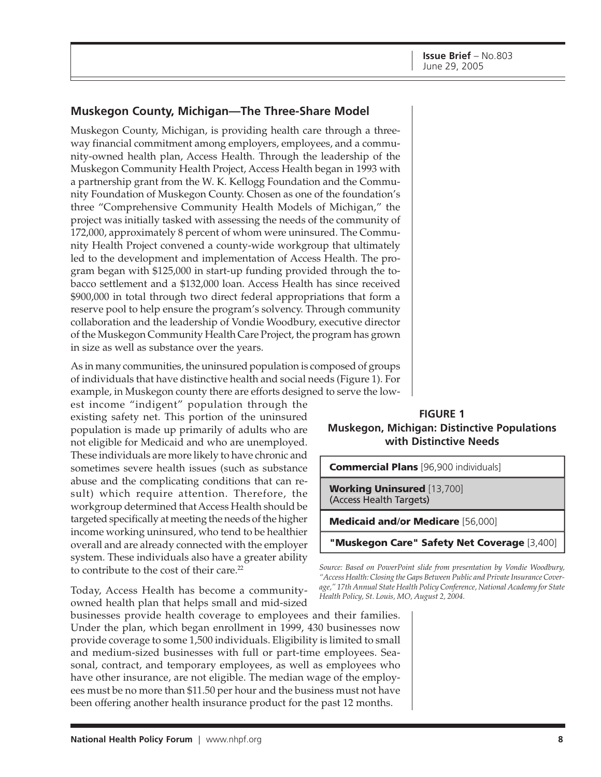#### **Muskegon County, Michigan—The Three-Share Model**

Muskegon County, Michigan, is providing health care through a threeway financial commitment among employers, employees, and a community-owned health plan, Access Health. Through the leadership of the Muskegon Community Health Project, Access Health began in 1993 with a partnership grant from the W. K. Kellogg Foundation and the Community Foundation of Muskegon County. Chosen as one of the foundation's three "Comprehensive Community Health Models of Michigan," the project was initially tasked with assessing the needs of the community of 172,000, approximately 8 percent of whom were uninsured. The Community Health Project convened a county-wide workgroup that ultimately led to the development and implementation of Access Health. The program began with \$125,000 in start-up funding provided through the tobacco settlement and a \$132,000 loan. Access Health has since received \$900,000 in total through two direct federal appropriations that form a reserve pool to help ensure the program's solvency. Through community collaboration and the leadership of Vondie Woodbury, executive director of the Muskegon Community Health Care Project, the program has grown in size as well as substance over the years.

As in many communities, the uninsured population is composed of groups of individuals that have distinctive health and social needs (Figure 1). For example, in Muskegon county there are efforts designed to serve the low-

est income "indigent" population through the existing safety net. This portion of the uninsured population is made up primarily of adults who are not eligible for Medicaid and who are unemployed. These individuals are more likely to have chronic and sometimes severe health issues (such as substance abuse and the complicating conditions that can result) which require attention. Therefore, the workgroup determined that Access Health should be targeted specifically at meeting the needs of the higher income working uninsured, who tend to be healthier overall and are already connected with the employer system. These individuals also have a greater ability to contribute to the cost of their care.<sup>22</sup>

Today, Access Health has become a communityowned health plan that helps small and mid-sized

businesses provide health coverage to employees and their families. Under the plan, which began enrollment in 1999, 430 businesses now provide coverage to some 1,500 individuals. Eligibility is limited to small and medium-sized businesses with full or part-time employees. Seasonal, contract, and temporary employees, as well as employees who have other insurance, are not eligible. The median wage of the employees must be no more than \$11.50 per hour and the business must not have been offering another health insurance product for the past 12 months.

**FIGURE 1 Muskegon, Michigan: Distinctive Populations with Distinctive Needs**



*Source: Based on PowerPoint slide from presentation by Vondie Woodbury, "Access Health: Closing the Gaps Between Public and Private Insurance Coverage," 17th Annual State Health Policy Conference, National Academy for State Health Policy, St. Louis, MO, August 2, 2004.*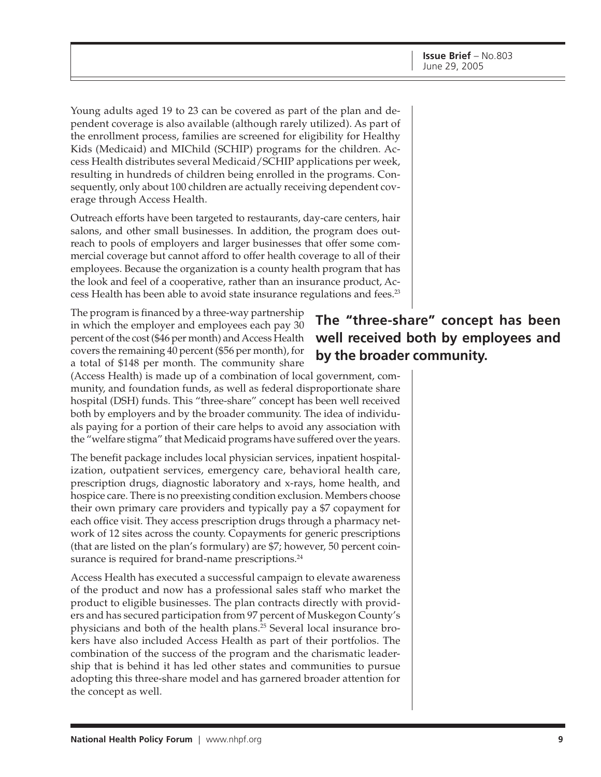Young adults aged 19 to 23 can be covered as part of the plan and dependent coverage is also available (although rarely utilized). As part of the enrollment process, families are screened for eligibility for Healthy Kids (Medicaid) and MIChild (SCHIP) programs for the children. Access Health distributes several Medicaid/SCHIP applications per week, resulting in hundreds of children being enrolled in the programs. Consequently, only about 100 children are actually receiving dependent coverage through Access Health.

Outreach efforts have been targeted to restaurants, day-care centers, hair salons, and other small businesses. In addition, the program does outreach to pools of employers and larger businesses that offer some commercial coverage but cannot afford to offer health coverage to all of their employees. Because the organization is a county health program that has the look and feel of a cooperative, rather than an insurance product, Access Health has been able to avoid state insurance regulations and fees.<sup>23</sup>

The program is financed by a three-way partnership in which the employer and employees each pay 30 percent of the cost (\$46 per month) and Access Health covers the remaining 40 percent (\$56 per month), for a total of \$148 per month. The community share

(Access Health) is made up of a combination of local government, community, and foundation funds, as well as federal disproportionate share hospital (DSH) funds. This "three-share" concept has been well received both by employers and by the broader community. The idea of individuals paying for a portion of their care helps to avoid any association with the "welfare stigma" that Medicaid programs have suffered over the years.

The benefit package includes local physician services, inpatient hospitalization, outpatient services, emergency care, behavioral health care, prescription drugs, diagnostic laboratory and x-rays, home health, and hospice care. There is no preexisting condition exclusion. Members choose their own primary care providers and typically pay a \$7 copayment for each office visit. They access prescription drugs through a pharmacy network of 12 sites across the county. Copayments for generic prescriptions (that are listed on the plan's formulary) are \$7; however, 50 percent coinsurance is required for brand-name prescriptions.<sup>24</sup>

Access Health has executed a successful campaign to elevate awareness of the product and now has a professional sales staff who market the product to eligible businesses. The plan contracts directly with providers and has secured participation from 97 percent of Muskegon County's physicians and both of the health plans.25 Several local insurance brokers have also included Access Health as part of their portfolios. The combination of the success of the program and the charismatic leadership that is behind it has led other states and communities to pursue adopting this three-share model and has garnered broader attention for the concept as well.

# **The "three-share" concept has been well received both by employees and by the broader community.**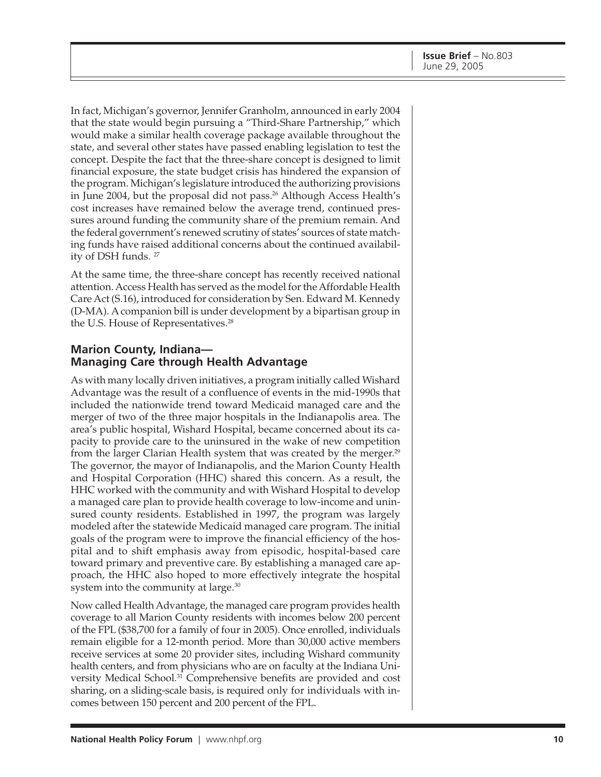In fact, Michigan's governor, Jennifer Granholm, announced in early 2004 that the state would begin pursuing a "Third-Share Partnership," which would make a similar health coverage package available throughout the state, and several other states have passed enabling legislation to test the concept. Despite the fact that the three-share concept is designed to limit financial exposure, the state budget crisis has hindered the expansion of the program. Michigan's legislature introduced the authorizing provisions in June 2004, but the proposal did not pass.<sup>26</sup> Although Access Health's cost increases have remained below the average trend, continued pressures around funding the community share of the premium remain. And the federal government's renewed scrutiny of states' sources of state matching funds have raised additional concerns about the continued availability of DSH funds. 27

At the same time, the three-share concept has recently received national attention. Access Health has served as the model for the Affordable Health Care Act (S.16), introduced for consideration by Sen. Edward M. Kennedy (D-MA). A companion bill is under development by a bipartisan group in the U.S. House of Representatives.<sup>28</sup>

#### **Marion County, Indiana— Managing Care through Health Advantage**

As with many locally driven initiatives, a program initially called Wishard Advantage was the result of a confluence of events in the mid-1990s that included the nationwide trend toward Medicaid managed care and the merger of two of the three major hospitals in the Indianapolis area. The area's public hospital, Wishard Hospital, became concerned about its capacity to provide care to the uninsured in the wake of new competition from the larger Clarian Health system that was created by the merger.<sup>29</sup> The governor, the mayor of Indianapolis, and the Marion County Health and Hospital Corporation (HHC) shared this concern. As a result, the HHC worked with the community and with Wishard Hospital to develop a managed care plan to provide health coverage to low-income and uninsured county residents. Established in 1997, the program was largely modeled after the statewide Medicaid managed care program. The initial goals of the program were to improve the financial efficiency of the hospital and to shift emphasis away from episodic, hospital-based care toward primary and preventive care. By establishing a managed care approach, the HHC also hoped to more effectively integrate the hospital system into the community at large.<sup>30</sup>

Now called Health Advantage, the managed care program provides health coverage to all Marion County residents with incomes below 200 percent of the FPL (\$38,700 for a family of four in 2005). Once enrolled, individuals remain eligible for a 12-month period. More than 30,000 active members receive services at some 20 provider sites, including Wishard community health centers, and from physicians who are on faculty at the Indiana University Medical School.31 Comprehensive benefits are provided and cost sharing, on a sliding-scale basis, is required only for individuals with incomes between 150 percent and 200 percent of the FPL.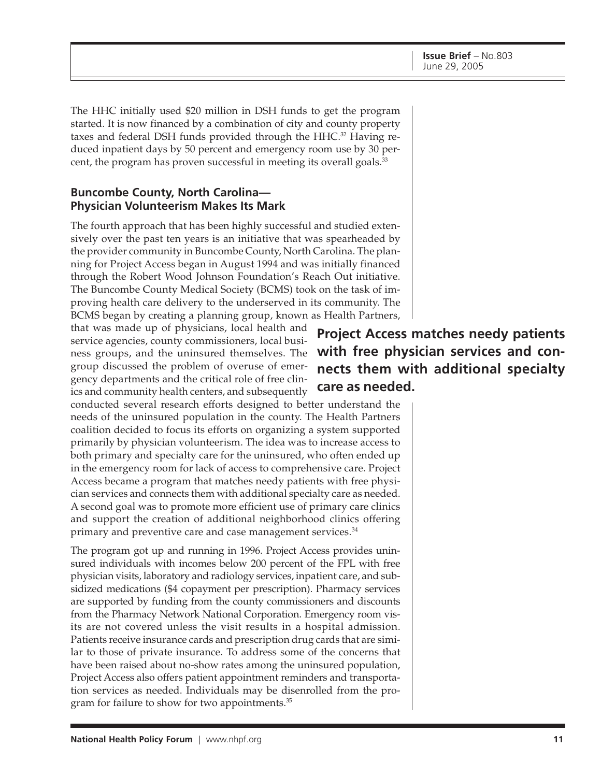The HHC initially used \$20 million in DSH funds to get the program started. It is now financed by a combination of city and county property taxes and federal DSH funds provided through the HHC.32 Having reduced inpatient days by 50 percent and emergency room use by 30 percent, the program has proven successful in meeting its overall goals.<sup>33</sup>

#### **Buncombe County, North Carolina— Physician Volunteerism Makes Its Mark**

The fourth approach that has been highly successful and studied extensively over the past ten years is an initiative that was spearheaded by the provider community in Buncombe County, North Carolina. The planning for Project Access began in August 1994 and was initially financed through the Robert Wood Johnson Foundation's Reach Out initiative. The Buncombe County Medical Society (BCMS) took on the task of improving health care delivery to the underserved in its community. The BCMS began by creating a planning group, known as Health Partners,

that was made up of physicians, local health and service agencies, county commissioners, local business groups, and the uninsured themselves. The group discussed the problem of overuse of emergency departments and the critical role of free clinics and community health centers, and subsequently

conducted several research efforts designed to better understand the needs of the uninsured population in the county. The Health Partners coalition decided to focus its efforts on organizing a system supported primarily by physician volunteerism. The idea was to increase access to both primary and specialty care for the uninsured, who often ended up in the emergency room for lack of access to comprehensive care. Project Access became a program that matches needy patients with free physician services and connects them with additional specialty care as needed. A second goal was to promote more efficient use of primary care clinics and support the creation of additional neighborhood clinics offering primary and preventive care and case management services.<sup>34</sup>

The program got up and running in 1996. Project Access provides uninsured individuals with incomes below 200 percent of the FPL with free physician visits, laboratory and radiology services, inpatient care, and subsidized medications (\$4 copayment per prescription). Pharmacy services are supported by funding from the county commissioners and discounts from the Pharmacy Network National Corporation. Emergency room visits are not covered unless the visit results in a hospital admission. Patients receive insurance cards and prescription drug cards that are similar to those of private insurance. To address some of the concerns that have been raised about no-show rates among the uninsured population, Project Access also offers patient appointment reminders and transportation services as needed. Individuals may be disenrolled from the program for failure to show for two appointments.<sup>35</sup>

# **Project Access matches needy patients with free physician services and connects them with additional specialty care as needed.**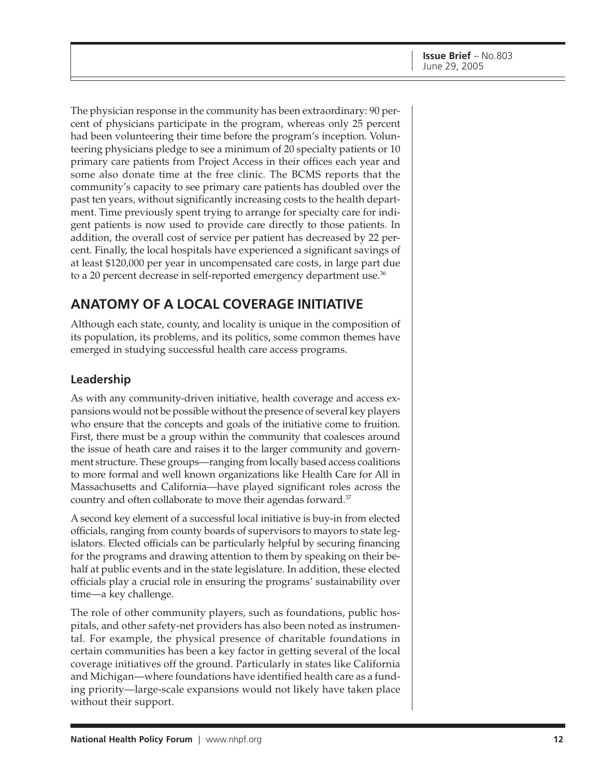The physician response in the community has been extraordinary: 90 percent of physicians participate in the program, whereas only 25 percent had been volunteering their time before the program's inception. Volunteering physicians pledge to see a minimum of 20 specialty patients or 10 primary care patients from Project Access in their offices each year and some also donate time at the free clinic. The BCMS reports that the community's capacity to see primary care patients has doubled over the past ten years, without significantly increasing costs to the health department. Time previously spent trying to arrange for specialty care for indigent patients is now used to provide care directly to those patients. In addition, the overall cost of service per patient has decreased by 22 percent. Finally, the local hospitals have experienced a significant savings of at least \$120,000 per year in uncompensated care costs, in large part due to a 20 percent decrease in self-reported emergency department use.<sup>36</sup>

# **ANATOMY OF A LOCAL COVERAGE INITIATIVE**

Although each state, county, and locality is unique in the composition of its population, its problems, and its politics, some common themes have emerged in studying successful health care access programs.

### **Leadership**

As with any community-driven initiative, health coverage and access expansions would not be possible without the presence of several key players who ensure that the concepts and goals of the initiative come to fruition. First, there must be a group within the community that coalesces around the issue of heath care and raises it to the larger community and government structure. These groups—ranging from locally based access coalitions to more formal and well known organizations like Health Care for All in Massachusetts and California—have played significant roles across the country and often collaborate to move their agendas forward.<sup>37</sup>

A second key element of a successful local initiative is buy-in from elected officials, ranging from county boards of supervisors to mayors to state legislators. Elected officials can be particularly helpful by securing financing for the programs and drawing attention to them by speaking on their behalf at public events and in the state legislature. In addition, these elected officials play a crucial role in ensuring the programs' sustainability over time—a key challenge.

The role of other community players, such as foundations, public hospitals, and other safety-net providers has also been noted as instrumental. For example, the physical presence of charitable foundations in certain communities has been a key factor in getting several of the local coverage initiatives off the ground. Particularly in states like California and Michigan—where foundations have identified health care as a funding priority—large-scale expansions would not likely have taken place without their support.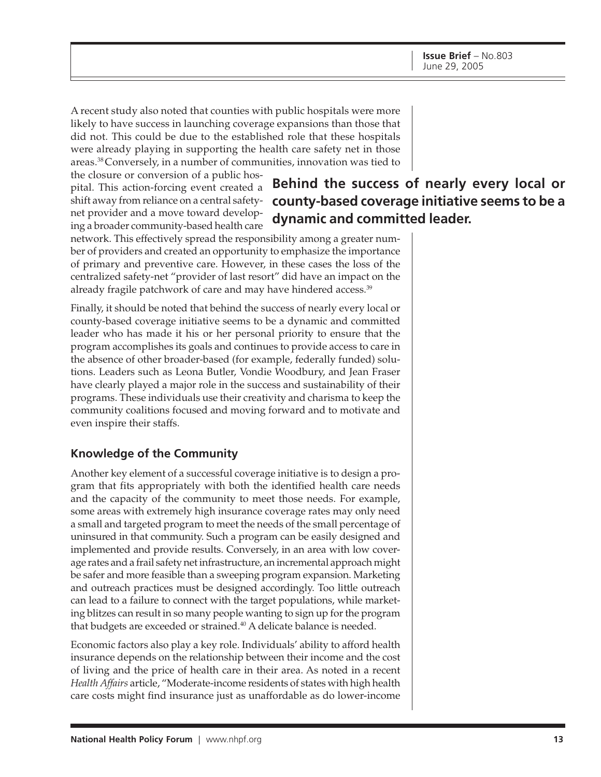A recent study also noted that counties with public hospitals were more likely to have success in launching coverage expansions than those that did not. This could be due to the established role that these hospitals were already playing in supporting the health care safety net in those areas.38 Conversely, in a number of communities, innovation was tied to

the closure or conversion of a public hospital. This action-forcing event created a shift away from reliance on a central safetynet provider and a move toward developing a broader community-based health care

# **Behind the success of nearly every local or county-based coverage initiative seems to be a dynamic and committed leader.**

network. This effectively spread the responsibility among a greater number of providers and created an opportunity to emphasize the importance of primary and preventive care. However, in these cases the loss of the centralized safety-net "provider of last resort" did have an impact on the already fragile patchwork of care and may have hindered access.<sup>39</sup>

Finally, it should be noted that behind the success of nearly every local or county-based coverage initiative seems to be a dynamic and committed leader who has made it his or her personal priority to ensure that the program accomplishes its goals and continues to provide access to care in the absence of other broader-based (for example, federally funded) solutions. Leaders such as Leona Butler, Vondie Woodbury, and Jean Fraser have clearly played a major role in the success and sustainability of their programs. These individuals use their creativity and charisma to keep the community coalitions focused and moving forward and to motivate and even inspire their staffs.

### **Knowledge of the Community**

Another key element of a successful coverage initiative is to design a program that fits appropriately with both the identified health care needs and the capacity of the community to meet those needs. For example, some areas with extremely high insurance coverage rates may only need a small and targeted program to meet the needs of the small percentage of uninsured in that community. Such a program can be easily designed and implemented and provide results. Conversely, in an area with low coverage rates and a frail safety net infrastructure, an incremental approach might be safer and more feasible than a sweeping program expansion. Marketing and outreach practices must be designed accordingly. Too little outreach can lead to a failure to connect with the target populations, while marketing blitzes can result in so many people wanting to sign up for the program that budgets are exceeded or strained.<sup>40</sup> A delicate balance is needed.

Economic factors also play a key role. Individuals' ability to afford health insurance depends on the relationship between their income and the cost of living and the price of health care in their area. As noted in a recent *Health Affairs* article, "Moderate-income residents of states with high health care costs might find insurance just as unaffordable as do lower-income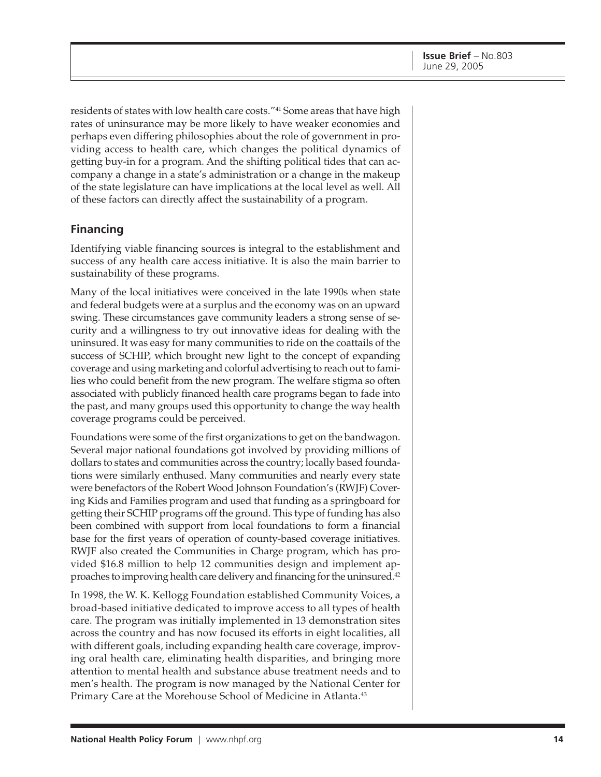residents of states with low health care costs."<sup>41</sup> Some areas that have high rates of uninsurance may be more likely to have weaker economies and perhaps even differing philosophies about the role of government in providing access to health care, which changes the political dynamics of getting buy-in for a program. And the shifting political tides that can accompany a change in a state's administration or a change in the makeup of the state legislature can have implications at the local level as well. All of these factors can directly affect the sustainability of a program.

#### **Financing**

Identifying viable financing sources is integral to the establishment and success of any health care access initiative. It is also the main barrier to sustainability of these programs.

Many of the local initiatives were conceived in the late 1990s when state and federal budgets were at a surplus and the economy was on an upward swing. These circumstances gave community leaders a strong sense of security and a willingness to try out innovative ideas for dealing with the uninsured. It was easy for many communities to ride on the coattails of the success of SCHIP, which brought new light to the concept of expanding coverage and using marketing and colorful advertising to reach out to families who could benefit from the new program. The welfare stigma so often associated with publicly financed health care programs began to fade into the past, and many groups used this opportunity to change the way health coverage programs could be perceived.

Foundations were some of the first organizations to get on the bandwagon. Several major national foundations got involved by providing millions of dollars to states and communities across the country; locally based foundations were similarly enthused. Many communities and nearly every state were benefactors of the Robert Wood Johnson Foundation's (RWJF) Covering Kids and Families program and used that funding as a springboard for getting their SCHIP programs off the ground. This type of funding has also been combined with support from local foundations to form a financial base for the first years of operation of county-based coverage initiatives. RWJF also created the Communities in Charge program, which has provided \$16.8 million to help 12 communities design and implement approaches to improving health care delivery and financing for the uninsured.42

In 1998, the W. K. Kellogg Foundation established Community Voices, a broad-based initiative dedicated to improve access to all types of health care. The program was initially implemented in 13 demonstration sites across the country and has now focused its efforts in eight localities, all with different goals, including expanding health care coverage, improving oral health care, eliminating health disparities, and bringing more attention to mental health and substance abuse treatment needs and to men's health. The program is now managed by the National Center for Primary Care at the Morehouse School of Medicine in Atlanta.<sup>43</sup>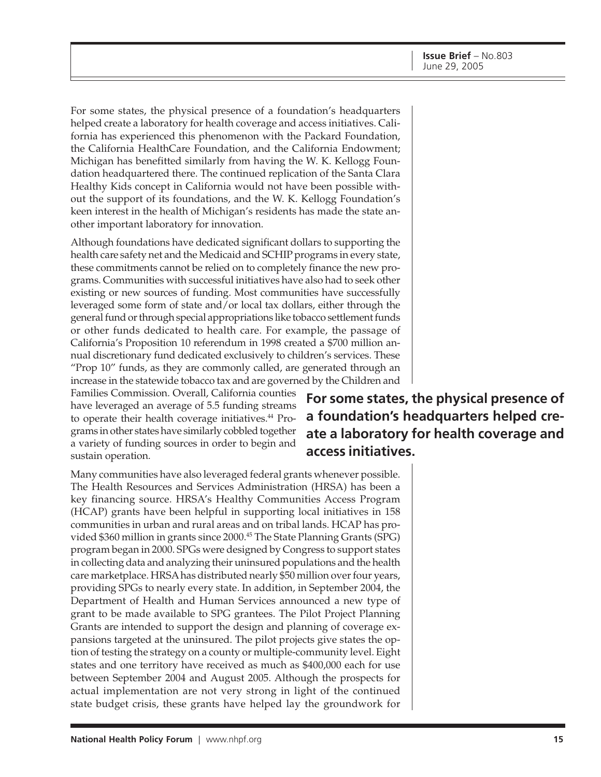For some states, the physical presence of a foundation's headquarters helped create a laboratory for health coverage and access initiatives. California has experienced this phenomenon with the Packard Foundation, the California HealthCare Foundation, and the California Endowment; Michigan has benefitted similarly from having the W. K. Kellogg Foundation headquartered there. The continued replication of the Santa Clara Healthy Kids concept in California would not have been possible without the support of its foundations, and the W. K. Kellogg Foundation's keen interest in the health of Michigan's residents has made the state another important laboratory for innovation.

Although foundations have dedicated significant dollars to supporting the health care safety net and the Medicaid and SCHIP programs in every state, these commitments cannot be relied on to completely finance the new programs. Communities with successful initiatives have also had to seek other existing or new sources of funding. Most communities have successfully leveraged some form of state and/or local tax dollars, either through the general fund or through special appropriations like tobacco settlement funds or other funds dedicated to health care. For example, the passage of California's Proposition 10 referendum in 1998 created a \$700 million annual discretionary fund dedicated exclusively to children's services. These "Prop 10" funds, as they are commonly called, are generated through an increase in the statewide tobacco tax and are governed by the Children and

Families Commission. Overall, California counties have leveraged an average of 5.5 funding streams to operate their health coverage initiatives.<sup>44</sup> Programs in other states have similarly cobbled together a variety of funding sources in order to begin and sustain operation.

Many communities have also leveraged federal grants whenever possible. The Health Resources and Services Administration (HRSA) has been a key financing source. HRSA's Healthy Communities Access Program (HCAP) grants have been helpful in supporting local initiatives in 158 communities in urban and rural areas and on tribal lands. HCAP has provided \$360 million in grants since 2000.<sup>45</sup> The State Planning Grants (SPG) program began in 2000. SPGs were designed by Congress to support states in collecting data and analyzing their uninsured populations and the health care marketplace. HRSA has distributed nearly \$50 million over four years, providing SPGs to nearly every state. In addition, in September 2004, the Department of Health and Human Services announced a new type of grant to be made available to SPG grantees. The Pilot Project Planning Grants are intended to support the design and planning of coverage expansions targeted at the uninsured. The pilot projects give states the option of testing the strategy on a county or multiple-community level. Eight states and one territory have received as much as \$400,000 each for use between September 2004 and August 2005. Although the prospects for actual implementation are not very strong in light of the continued state budget crisis, these grants have helped lay the groundwork for

**For some states, the physical presence of a foundation's headquarters helped create a laboratory for health coverage and access initiatives.**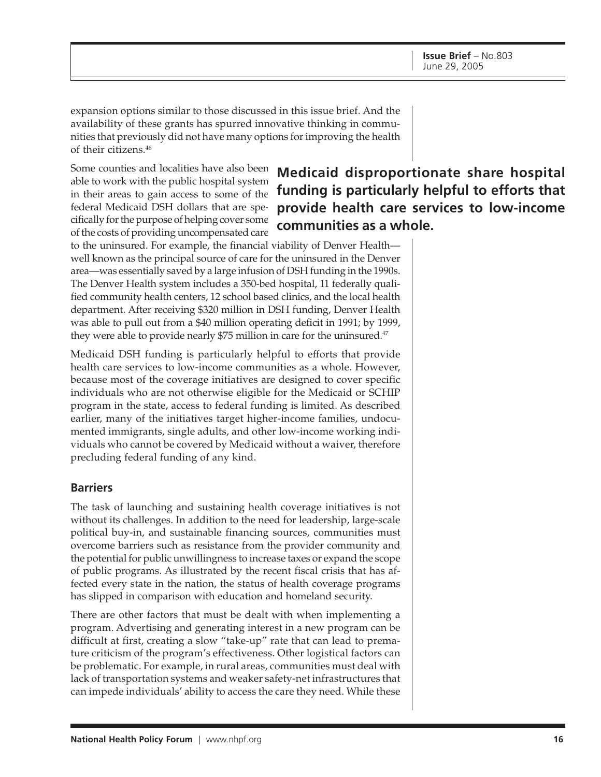expansion options similar to those discussed in this issue brief. And the availability of these grants has spurred innovative thinking in communities that previously did not have many options for improving the health of their citizens.46

Some counties and localities have also been able to work with the public hospital system in their areas to gain access to some of the federal Medicaid DSH dollars that are specifically for the purpose of helping cover some of the costs of providing uncompensated care

**Medicaid disproportionate share hospital funding is particularly helpful to efforts that provide health care services to low-income communities as a whole.**

to the uninsured. For example, the financial viability of Denver Health well known as the principal source of care for the uninsured in the Denver area—was essentially saved by a large infusion of DSH funding in the 1990s. The Denver Health system includes a 350-bed hospital, 11 federally qualified community health centers, 12 school based clinics, and the local health department. After receiving \$320 million in DSH funding, Denver Health was able to pull out from a \$40 million operating deficit in 1991; by 1999, they were able to provide nearly \$75 million in care for the uninsured.<sup>47</sup>

Medicaid DSH funding is particularly helpful to efforts that provide health care services to low-income communities as a whole. However, because most of the coverage initiatives are designed to cover specific individuals who are not otherwise eligible for the Medicaid or SCHIP program in the state, access to federal funding is limited. As described earlier, many of the initiatives target higher-income families, undocumented immigrants, single adults, and other low-income working individuals who cannot be covered by Medicaid without a waiver, therefore precluding federal funding of any kind.

#### **Barriers**

The task of launching and sustaining health coverage initiatives is not without its challenges. In addition to the need for leadership, large-scale political buy-in, and sustainable financing sources, communities must overcome barriers such as resistance from the provider community and the potential for public unwillingness to increase taxes or expand the scope of public programs. As illustrated by the recent fiscal crisis that has affected every state in the nation, the status of health coverage programs has slipped in comparison with education and homeland security.

There are other factors that must be dealt with when implementing a program. Advertising and generating interest in a new program can be difficult at first, creating a slow "take-up" rate that can lead to premature criticism of the program's effectiveness. Other logistical factors can be problematic. For example, in rural areas, communities must deal with lack of transportation systems and weaker safety-net infrastructures that can impede individuals' ability to access the care they need. While these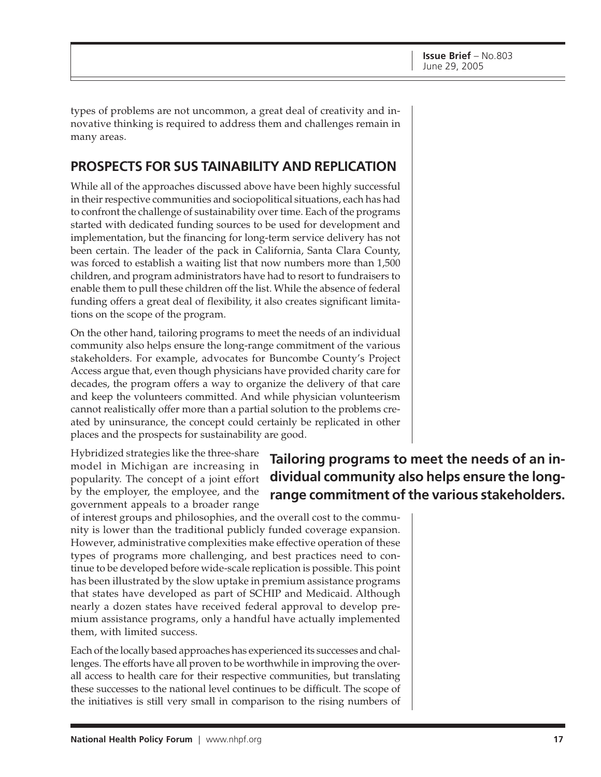types of problems are not uncommon, a great deal of creativity and innovative thinking is required to address them and challenges remain in many areas.

## **PROSPECTS FOR SUS TAINABILITY AND REPLICATION**

While all of the approaches discussed above have been highly successful in their respective communities and sociopolitical situations, each has had to confront the challenge of sustainability over time. Each of the programs started with dedicated funding sources to be used for development and implementation, but the financing for long-term service delivery has not been certain. The leader of the pack in California, Santa Clara County, was forced to establish a waiting list that now numbers more than 1,500 children, and program administrators have had to resort to fundraisers to enable them to pull these children off the list. While the absence of federal funding offers a great deal of flexibility, it also creates significant limitations on the scope of the program.

On the other hand, tailoring programs to meet the needs of an individual community also helps ensure the long-range commitment of the various stakeholders. For example, advocates for Buncombe County's Project Access argue that, even though physicians have provided charity care for decades, the program offers a way to organize the delivery of that care and keep the volunteers committed. And while physician volunteerism cannot realistically offer more than a partial solution to the problems created by uninsurance, the concept could certainly be replicated in other places and the prospects for sustainability are good.

Hybridized strategies like the three-share model in Michigan are increasing in popularity. The concept of a joint effort by the employer, the employee, and the government appeals to a broader range

# **Tailoring programs to meet the needs of an individual community also helps ensure the longrange commitment of the various stakeholders.**

of interest groups and philosophies, and the overall cost to the community is lower than the traditional publicly funded coverage expansion. However, administrative complexities make effective operation of these types of programs more challenging, and best practices need to continue to be developed before wide-scale replication is possible. This point has been illustrated by the slow uptake in premium assistance programs that states have developed as part of SCHIP and Medicaid. Although nearly a dozen states have received federal approval to develop premium assistance programs, only a handful have actually implemented them, with limited success.

Each of the locally based approaches has experienced its successes and challenges. The efforts have all proven to be worthwhile in improving the overall access to health care for their respective communities, but translating these successes to the national level continues to be difficult. The scope of the initiatives is still very small in comparison to the rising numbers of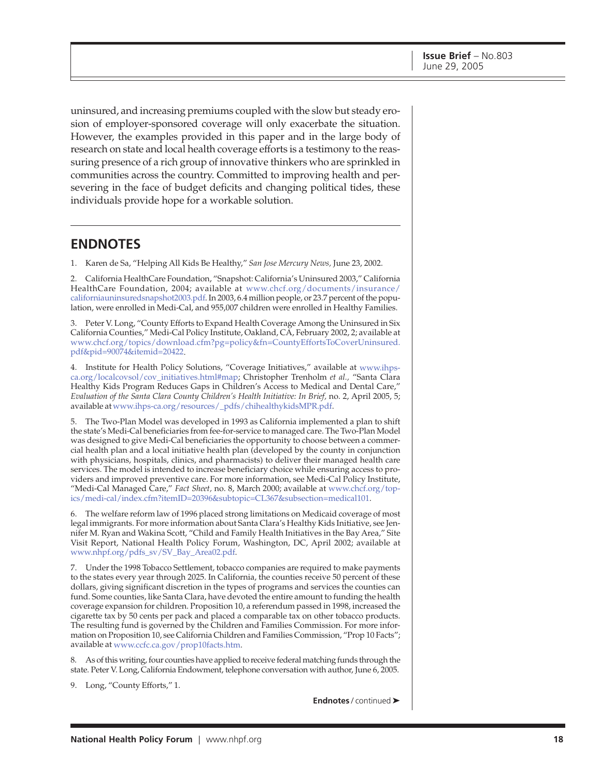uninsured, and increasing premiums coupled with the slow but steady erosion of employer-sponsored coverage will only exacerbate the situation. However, the examples provided in this paper and in the large body of research on state and local health coverage efforts is a testimony to the reassuring presence of a rich group of innovative thinkers who are sprinkled in communities across the country. Committed to improving health and persevering in the face of budget deficits and changing political tides, these individuals provide hope for a workable solution.

### **ENDNOTES**

1. Karen de Sa, "Helping All Kids Be Healthy," *San Jose Mercury News,* June 23, 2002.

2. California HealthCare Foundation, "Snapshot: California's Uninsured 2003," California HealthCare Foundation, 2004; available at [www.chcf.org/documents/insurance/](http://www.chcf.org/documents/insurance/californiauninsuredsnapshot2003.pdf) californiauninsuredsnapshot2003.pdf. In 2003, 6.4 million people, or 23.7 percent of the population, were enrolled in Medi-Cal, and 955,007 children were enrolled in Healthy Families.

3. Peter V. Long, "County Efforts to Expand Health Coverage Among the Uninsured in Six California Counties," Medi-Cal Policy Institute, Oakland, CA, February 2002, 2; available at [www.chcf.org/topics/download.cfm?pg=policy&fn=CountyEffortsToCoverUninsured.](http://www.chcf.org/topics/download.cfm?pg=policy&fn=CountyEffortsToCoverUninsured.pdf&pid=90074&itemid=20422) pdf&pid=90074&itemid=20422.

4. Institute for Health Policy Solutions, "Coverage Initiatives," available a[t www.ihps](http://www.ihps-ca.org/localcovsol/cov_initiatives.html#map)ca.org/localcovsol/cov\_initiatives.html#map; Christopher Trenholm *et al.,* "Santa Clara Healthy Kids Program Reduces Gaps in Children's Access to Medical and Dental Care," *Evaluation of the Santa Clara County Children's Health Initiative: In Brief,* no. 2, April 2005, 5; available a[t www.ihps-ca.org/resources/\\_pdfs/chihealthykidsMPR.pdf.](http://www.ihps-ca.org/resources/_pdfs/chihealthykidsMPR.pdf)

5. The Two-Plan Model was developed in 1993 as California implemented a plan to shift the state's Medi-Cal beneficiaries from fee-for-service to managed care. The Two-Plan Model was designed to give Medi-Cal beneficiaries the opportunity to choose between a commercial health plan and a local initiative health plan (developed by the county in conjunction with physicians, hospitals, clinics, and pharmacists) to deliver their managed health care services. The model is intended to increase beneficiary choice while ensuring access to providers and improved preventive care. For more information, see Medi-Cal Policy Institute, "Medi-Cal Managed Care," *Fact Sheet,* no. 8, March 2000; available at [www.chcf.org/top](http://www.chcf.org/topics/medi-cal/index.cfm?itemID=20396&subtopic=CL367&subsection=medical101)ics/medi-cal/index.cfm?itemID=20396&subtopic=CL367&subsection=medical101.

6. The welfare reform law of 1996 placed strong limitations on Medicaid coverage of most legal immigrants. For more information about Santa Clara's Healthy Kids Initiative, see Jennifer M. Ryan and Wakina Scott, "Child and Family Health Initiatives in the Bay Area," Site Visit Report, National Health Policy Forum, Washington, DC, April 2002; available at [www.nhpf.org/pdfs\\_sv/SV\\_Bay\\_Area02.pdf.](http://www.nhpf.org/pdfs_sv/SV_Bay_Area02.pdf)

7. Under the 1998 Tobacco Settlement, tobacco companies are required to make payments to the states every year through 2025. In California, the counties receive 50 percent of these dollars, giving significant discretion in the types of programs and services the counties can fund. Some counties, like Santa Clara, have devoted the entire amount to funding the health coverage expansion for children. Proposition 10, a referendum passed in 1998, increased the cigarette tax by 50 cents per pack and placed a comparable tax on other tobacco products. The resulting fund is governed by the Children and Families Commission. For more information on Proposition 10, see California Children and Families Commission, "Prop 10 Facts"; available at [www.ccfc.ca.gov/prop10facts.htm.](http://www.ccfc.ca.gov/prop10facts.htm)

8. As of this writing, four counties have applied to receive federal matching funds through the state. Peter V. Long, California Endowment, telephone conversation with author, June 6, 2005.

9. Long, "County Efforts," 1.

**Endnotes** / continued ➤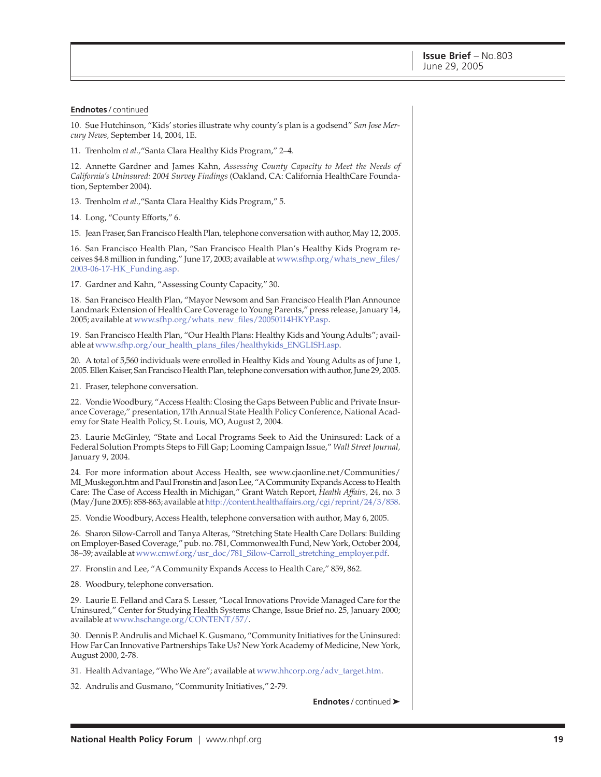#### **Endnotes** / continued

10. Sue Hutchinson, "Kids' stories illustrate why county's plan is a godsend" *San Jose Mercury News,* September 14, 2004, 1E.

11. Trenholm *et al.,*"Santa Clara Healthy Kids Program," 2–4.

12. Annette Gardner and James Kahn, *Assessing County Capacity to Meet the Needs of California's Uninsured: 2004 Survey Findings* (Oakland, CA: California HealthCare Foundation, September 2004).

13. Trenholm *et al.,*"Santa Clara Healthy Kids Program," 5.

14. Long, "County Efforts," 6.

15. Jean Fraser, San Francisco Health Plan, telephone conversation with author, May 12, 2005.

16. San Francisco Health Plan, "San Francisco Health Plan's Healthy Kids Program receives \$4.8 million in funding," June 17, 2003; available at [www.sfhp.org/whats\\_new\\_files/](http://www.sfhp.org/whats_new_files/2003-06-17-HK_Funding.asp) 2003-06-17-HK\_Funding.asp.

17. Gardner and Kahn, "Assessing County Capacity," 30.

18. San Francisco Health Plan, "Mayor Newsom and San Francisco Health Plan Announce Landmark Extension of Health Care Coverage to Young Parents," press release, January 14, 2005; available a[t www.sfhp.org/whats\\_new\\_files/20050114HKYP.asp.](http://www.sfhp.org/whats_new_files/20050114HKYP.asp)

19. San Francisco Health Plan, "Our Health Plans: Healthy Kids and Young Adults"; available at [www.sfhp.org/our\\_health\\_plans\\_files/healthykids\\_ENGLISH.asp.](http://www.sfhp.org/our_health_plans_files/healthykids_ENGLISH.asp)

20. A total of 5,560 individuals were enrolled in Healthy Kids and Young Adults as of June 1, 2005. Ellen Kaiser, San Francisco Health Plan, telephone conversation with author, June 29, 2005.

21. Fraser, telephone conversation.

22. Vondie Woodbury, "Access Health: Closing the Gaps Between Public and Private Insurance Coverage," presentation, 17th Annual State Health Policy Conference, National Academy for State Health Policy, St. Louis, MO, August 2, 2004.

23. Laurie McGinley, "State and Local Programs Seek to Aid the Uninsured: Lack of a Federal Solution Prompts Steps to Fill Gap; Looming Campaign Issue," *Wall Street Journal,* January 9, 2004.

24. For more information about Access Health, see www.cjaonline.net/Communities/ MI\_Muskegon.htm and Paul Fronstin and Jason Lee, "A Community Expands Access to Health Care: The Case of Access Health in Michigan," Grant Watch Report, *Health Affairs,* 24, no. 3 (May/June 2005): 858-863; available a[t http://content.healthaffairs.org/cgi/reprint/24/3/858.](http://content.healthaffairs.org/cgi/reprint/24/3/858)

25. Vondie Woodbury, Access Health, telephone conversation with author, May 6, 2005.

26. Sharon Silow-Carroll and Tanya Alteras, "Stretching State Health Care Dollars: Building on Employer-Based Coverage," pub. no. 781, Commonwealth Fund, New York, October 2004, 38–39; available a[t www.cmwf.org/usr\\_doc/781\\_Silow-Carroll\\_stretching\\_employer.pdf.](http://www.cmwf.org/usr_doc/781_Silow-Carroll_stretching_employer.pdf)

27. Fronstin and Lee, "A Community Expands Access to Health Care," 859, 862.

28. Woodbury, telephone conversation.

29. Laurie E. Felland and Cara S. Lesser, "Local Innovations Provide Managed Care for the Uninsured," Center for Studying Health Systems Change, Issue Brief no. 25, January 2000; available a[t www.hschange.org/CONTENT/57/.](http://www.hschange.org/CONTENT/57/)

30. Dennis P. Andrulis and Michael K. Gusmano, "Community Initiatives for the Uninsured: How Far Can Innovative Partnerships Take Us? New York Academy of Medicine, New York, August 2000, 2-78.

31. Health Advantage, "Who We Are"; available a[t www.hhcorp.org/adv\\_target.htm.](http://www.hhcorp.org/adv_target.htm)

32. Andrulis and Gusmano, "Community Initiatives," 2-79.

**Endnotes** / continued ➤